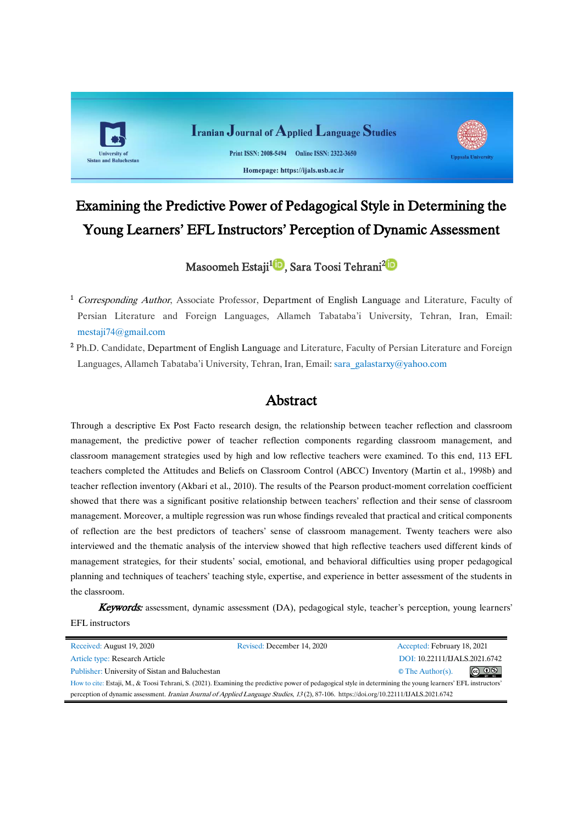

# Examining the Predictive Power of Pedagogical Style in Determining the Young Learners' EFL Instructors' Perception of Dynamic Assessment

# Masoomeh Estaji<sup>1</sup> D[,](https://orcid.org/0000-0002-8014-9491)Sara Toosi Tehrani<sup>2 (D</sup>

<sup>1</sup> Corresponding Author, Associate Professor, Department of English Language and Literature, Faculty of Persian Literature and Foreign Languages, Allameh Tabataba'i University, Tehran, Iran, Email: [mestaji74@gmail.com](mailto:mestaji74@gmail.com)

<sup>2</sup> Ph.D. Candidate, Department of English Language and Literature, Faculty of Persian Literature and Foreign Languages, Allameh Tabataba'i University, Tehran, Iran, Email[: sara\\_galastarxy@yahoo.com](mailto:sara_galastarxy@yahoo.com)

# Abstract

Through a descriptive Ex Post Facto research design, the relationship between teacher reflection and classroom management, the predictive power of teacher reflection components regarding classroom management, and classroom management strategies used by high and low reflective teachers were examined. To this end, 113 EFL teachers completed the Attitudes and Beliefs on Classroom Control (ABCC) Inventory (Martin et al., 1998b) and teacher reflection inventory (Akbari et al., 2010). The results of the Pearson product-moment correlation coefficient showed that there was a significant positive relationship between teachers' reflection and their sense of classroom management. Moreover, a multiple regression was run whose findings revealed that practical and critical components of reflection are the best predictors of teachers' sense of classroom management. Twenty teachers were also interviewed and the thematic analysis of the interview showed that high reflective teachers used different kinds of management strategies, for their students' social, emotional, and behavioral difficulties using proper pedagogical planning and techniques of teachers' teaching style, expertise, and experience in better assessment of the students in the classroom.

**Keywords:** assessment, dynamic assessment (DA), pedagogical style, teacher's perception, young learners' EFL instructors

| Received: August 19, 2020                                                                                                                                    | Revised: December 14, 2020 | Accepted: February 18, 2021              |  |  |  |
|--------------------------------------------------------------------------------------------------------------------------------------------------------------|----------------------------|------------------------------------------|--|--|--|
| Article type: Research Article                                                                                                                               |                            | DOI: 10.22111/IJALS.2021.6742            |  |  |  |
| Publisher: University of Sistan and Baluchestan                                                                                                              |                            | $\circledcirc$<br>$\circ$ The Author(s). |  |  |  |
| How to cite: Estaji, M., & Toosi Tehrani, S. (2021). Examining the predictive power of pedagogical style in determining the young learners' EFL instructors' |                            |                                          |  |  |  |
| perception of dynamic assessment. Iranian Journal of Applied Language Studies, 13(2), 87-106. https://doi.org/10.22111/JJALS.2021.6742                       |                            |                                          |  |  |  |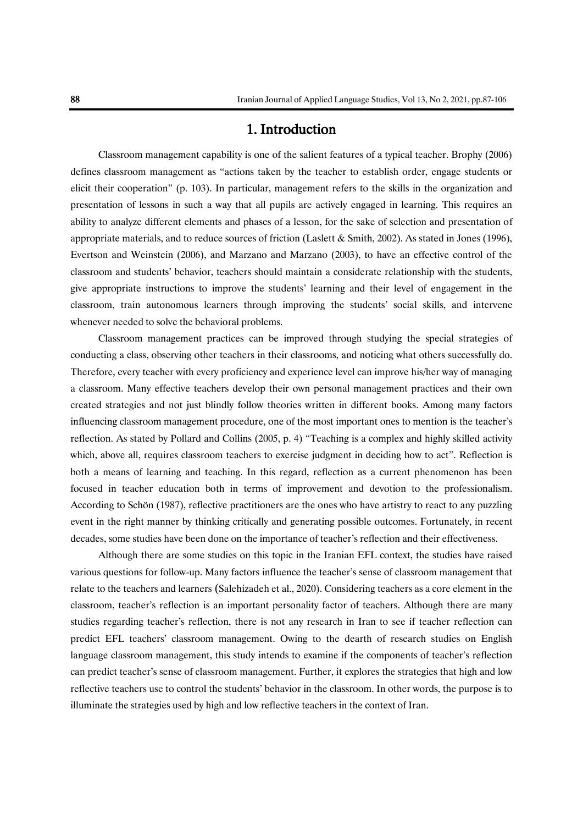# 1. Introduction

Classroom management capability is one of the salient features of a typical teacher. Brophy (2006) defines classroom management as "actions taken by the teacher to establish order, engage students or elicit their cooperation" (p. 103). In particular, management refers to the skills in the organization and presentation of lessons in such a way that all pupils are actively engaged in learning. This requires an ability to analyze different elements and phases of a lesson, for the sake of selection and presentation of appropriate materials, and to reduce sources of friction (Laslett & Smith, 2002). As stated in Jones (1996), Evertson and Weinstein (2006), and Marzano and Marzano (2003), to have an effective control of the classroom and students' behavior, teachers should maintain a considerate relationship with the students, give appropriate instructions to improve the students' learning and their level of engagement in the classroom, train autonomous learners through improving the students' social skills, and intervene whenever needed to solve the behavioral problems.

Classroom management practices can be improved through studying the special strategies of conducting a class, observing other teachers in their classrooms, and noticing what others successfully do. Therefore, every teacher with every proficiency and experience level can improve his/her way of managing a classroom. Many effective teachers develop their own personal management practices and their own created strategies and not just blindly follow theories written in different books. Among many factors influencing classroom management procedure, one of the most important ones to mention is the teacher's reflection. As stated by Pollard and Collins (2005, p. 4) "Teaching is a complex and highly skilled activity which, above all, requires classroom teachers to exercise judgment in deciding how to act". Reflection is both a means of learning and teaching. In this regard, reflection as a current phenomenon has been focused in teacher education both in terms of improvement and devotion to the professionalism. According to Schön (1987), reflective practitioners are the ones who have artistry to react to any puzzling event in the right manner by thinking critically and generating possible outcomes. Fortunately, in recent decades, some studies have been done on the importance of teacher's reflection and their effectiveness.

Although there are some studies on this topic in the Iranian EFL context, the studies have raised various questions for follow-up. Many factors influence the teacher's sense of classroom management that relate to the teachers and learners (Salehizadeh et al., 2020). Considering teachers as a core element in the classroom, teacher's reflection is an important personality factor of teachers. Although there are many studies regarding teacher's reflection, there is not any research in Iran to see if teacher reflection can predict EFL teachers' classroom management. Owing to the dearth of research studies on English language classroom management, this study intends to examine if the components of teacher's reflection can predict teacher's sense of classroom management. Further, it explores the strategies that high and low reflective teachers use to control the students' behavior in the classroom. In other words, the purpose is to illuminate the strategies used by high and low reflective teachers in the context of Iran.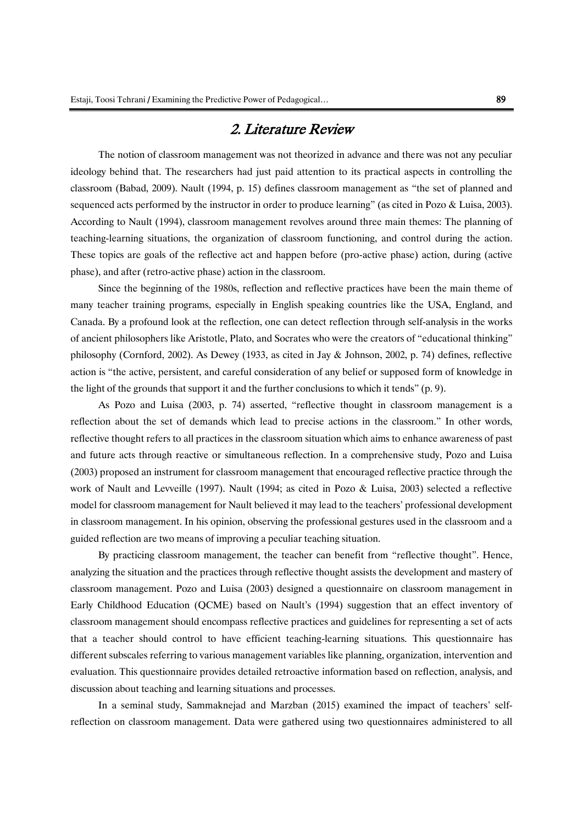# 2. Literature Review

The notion of classroom management was not theorized in advance and there was not any peculiar ideology behind that. The researchers had just paid attention to its practical aspects in controlling the classroom (Babad, 2009). Nault (1994, p. 15) defines classroom management as "the set of planned and sequenced acts performed by the instructor in order to produce learning" (as cited in Pozo & Luisa, 2003). According to Nault (4991), classroom management revolves around three main themes: The planning of teaching-learning situations, the organization of classroom functioning, and control during the action. These topics are goals of the reflective act and happen before (pro-active phase) action, during (active phase), and after (retro-active phase) action in the classroom.

Since the beginning of the 1980s, reflection and reflective practices have been the main theme of many teacher training programs, especially in English speaking countries like the USA, England, and Canada. By a profound look at the reflection, one can detect reflection through self-analysis in the works of ancient philosophers like Aristotle, Plato, and Socrates who were the creators of "educational thinking" philosophy (Cornford, 2002). As Dewey (1933, as cited in Jay & Johnson, 2002, p. 74) defines, reflective action is "the active, persistent, and careful consideration of any belief or supposed form of knowledge in the light of the grounds that support it and the further conclusions to which it tends" (p. 9).

As Pozo and Luisa (2003, p. 74) asserted, "reflective thought in classroom management is a reflection about the set of demands which lead to precise actions in the classroom." In other words, reflective thought refers to all practices in the classroom situation which aims to enhance awareness of past and future acts through reactive or simultaneous reflection. In a comprehensive study, Pozo and Luisa (2003) proposed an instrument for classroom management that encouraged reflective practice through the work of Nault and Levveille (1997). Nault (1994; as cited in Pozo & Luisa, 2003) selected a reflective model for classroom management for Nault believed it may lead to the teachers' professional development in classroom management. In his opinion, observing the professional gestures used in the classroom and a guided reflection are two means of improving a peculiar teaching situation.

By practicing classroom management, the teacher can benefit from "reflective thought". Hence, analyzing the situation and the practices through reflective thought assists the development and mastery of classroom management. Pozo and Luisa (2003) designed a questionnaire on classroom management in Early Childhood Education (QCME) based on Nault's (1994) suggestion that an effect inventory of classroom management should encompass reflective practices and guidelines for representing a set of acts that a teacher should control to have efficient teaching-learning situations. This questionnaire has different subscales referring to various management variables like planning, organization, intervention and evaluation. This questionnaire provides detailed retroactive information based on reflection, analysis, and discussion about teaching and learning situations and processes.

In a seminal study, Sammaknejad and Marzban (2015) examined the impact of teachers' selfreflection on classroom management. Data were gathered using two questionnaires administered to all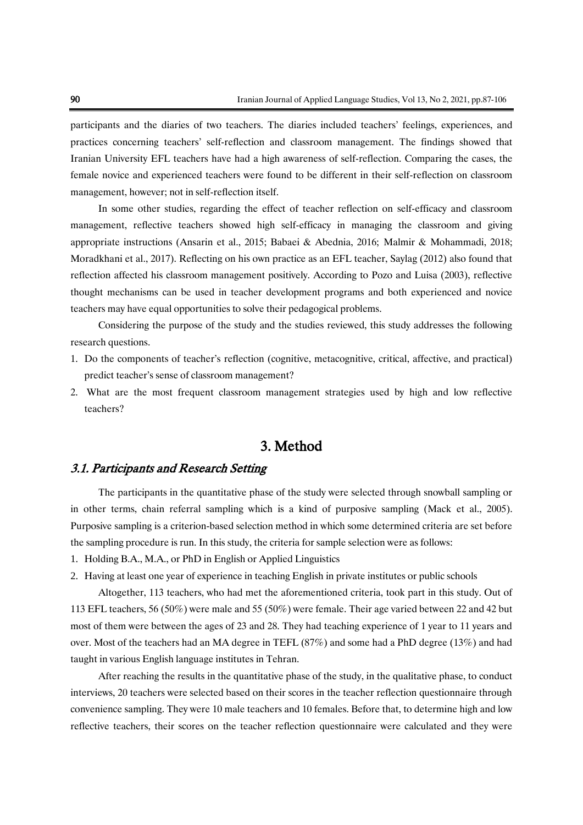participants and the diaries of two teachers. The diaries included teachers' feelings, experiences, and practices concerning teachers' self-reflection and classroom management. The findings showed that Iranian University EFL teachers have had a high awareness of self-reflection. Comparing the cases, the female novice and experienced teachers were found to be different in their self-reflection on classroom management, however; not in self-reflection itself.

In some other studies, regarding the effect of teacher reflection on self-efficacy and classroom management, reflective teachers showed high self-efficacy in managing the classroom and giving appropriate instructions (Ansarin et al., 2015; Babaei & Abednia, 2016; Malmir & Mohammadi, 2018; Moradkhani et al., 2017). Reflecting on his own practice as an EFL teacher, Saylag (2012) also found that reflection affected his classroom management positively. According to Pozo and Luisa (2003), reflective thought mechanisms can be used in teacher development programs and both experienced and novice teachers may have equal opportunities to solve their pedagogical problems.

Considering the purpose of the study and the studies reviewed, this study addresses the following research questions.

- 1. Do the components of teacher's reflection (cognitive, metacognitive, critical, affective, and practical) predict teacher's sense of classroom management?
- 2. What are the most frequent classroom management strategies used by high and low reflective teachers?

# 3. Method

## 3.1. Participants and Research Setting

The participants in the quantitative phase of the study were selected through snowball sampling or in other terms, chain referral sampling which is a kind of purposive sampling (Mack et al., 2005). Purposive sampling is a criterion-based selection method in which some determined criteria are set before the sampling procedure is run. In this study, the criteria for sample selection were as follows:

- 1. Holding B.A., M.A., or PhD in English or Applied Linguistics
- 2. Having at least one year of experience in teaching English in private institutes or public schools

Altogether, 113 teachers, who had met the aforementioned criteria, took part in this study. Out of 113 EFL teachers, 56 (50%) were male and 55 (50%) were female. Their age varied between 22 and 42 but most of them were between the ages of 23 and 28. They had teaching experience of 1 year to 11 years and over. Most of the teachers had an MA degree in TEFL (87%) and some had a PhD degree (13%) and had taught in various English language institutes in Tehran.

After reaching the results in the quantitative phase of the study, in the qualitative phase, to conduct interviews, 20 teachers were selected based on their scores in the teacher reflection questionnaire through convenience sampling. They were 10 male teachers and 10 females. Before that, to determine high and low reflective teachers, their scores on the teacher reflection questionnaire were calculated and they were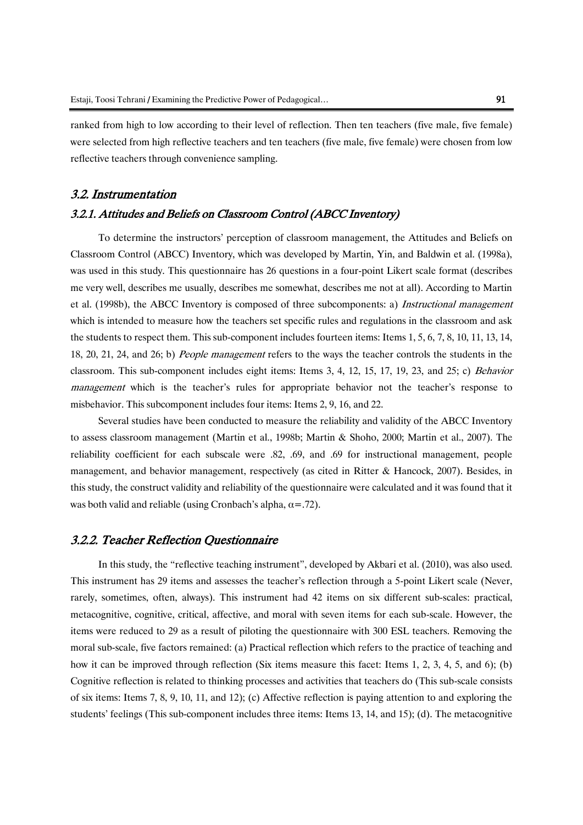reflective teachers through convenience sampling.

ranked from high to low according to their level of reflection. Then ten teachers (five male, five female) were selected from high reflective teachers and ten teachers (five male, five female) were chosen from low

### 3.2. Instrumentation

#### 3.2.1. Attitudes and Beliefs on Classroom Control (ABCC Inventory)

To determine the instructors' perception of classroom management, the Attitudes and Beliefs on Classroom Control (ABCC) Inventory, which was developed by Martin, Yin, and Baldwin et al. (1998a), was used in this study. This questionnaire has 26 questions in a four-point Likert scale format (describes me very well, describes me usually, describes me somewhat, describes me not at all). According to Martin et al. (1998b), the ABCC Inventory is composed of three subcomponents: a) Instructional management which is intended to measure how the teachers set specific rules and regulations in the classroom and ask the students to respect them. This sub-component includes fourteen items: Items 1, 5, 6, 7, 8, 10, 11, 13, 14, 18, 20, 21, 24, and 26; b) People management refers to the ways the teacher controls the students in the classroom. This sub-component includes eight items: Items 3, 4, 12, 15, 17, 19, 23, and 25; c) Behavior management which is the teacher's rules for appropriate behavior not the teacher's response to misbehavior. This subcomponent includes four items: Items 2, 9, 16, and 22.

Several studies have been conducted to measure the reliability and validity of the ABCC Inventory to assess classroom management (Martin et al., 1998b; Martin & Shoho, 2000; Martin et al., 2007). The reliability coefficient for each subscale were .82, .69, and .69 for instructional management, people management, and behavior management, respectively (as cited in Ritter & Hancock, 2007). Besides, in this study, the construct validity and reliability of the questionnaire were calculated and it was found that it was both valid and reliable (using Cronbach's alpha,  $\alpha = .72$ ).

### 3.2.2. Teacher Reflection Questionnaire

In this study, the "reflective teaching instrument", developed by Akbari et al. (2010), was also used. This instrument has 29 items and assesses the teacher's reflection through a 5-point Likert scale (Never, rarely, sometimes, often, always). This instrument had 42 items on six different sub-scales: practical, metacognitive, cognitive, critical, affective, and moral with seven items for each sub-scale. However, the items were reduced to 29 as a result of piloting the questionnaire with 300 ESL teachers. Removing the moral sub-scale, five factors remained: (a) Practical reflection which refers to the practice of teaching and how it can be improved through reflection (Six items measure this facet: Items 1, 2, 3, 4, 5, and 6); (b) Cognitive reflection is related to thinking processes and activities that teachers do (This sub-scale consists of six items: Items 7, 8, 9, 10, 11, and 12); (c) Affective reflection is paying attention to and exploring the students' feelings (This sub-component includes three items: Items 13, 14, and 15); (d). The metacognitive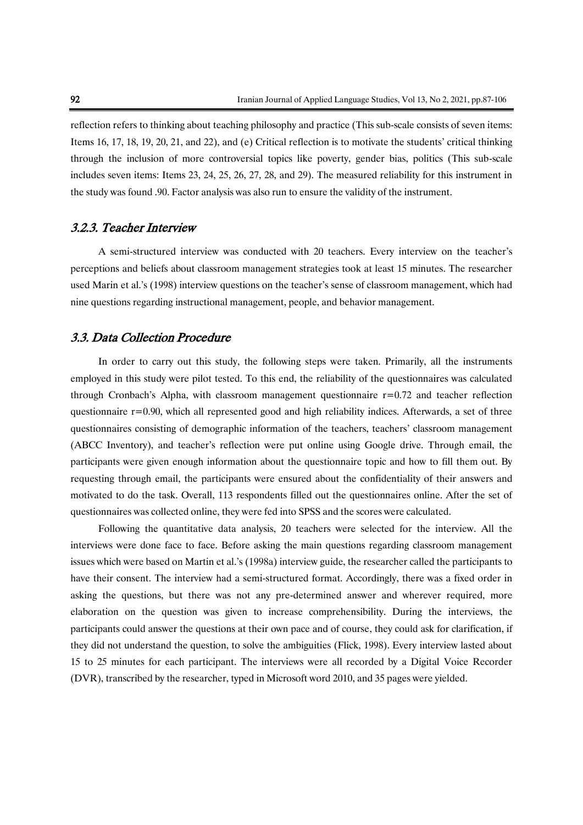reflection refers to thinking about teaching philosophy and practice (This sub-scale consists of seven items: Items 16, 17, 18, 19, 20, 21, and 22), and (e) Critical reflection is to motivate the students' critical thinking through the inclusion of more controversial topics like poverty, gender bias, politics (This sub-scale includes seven items: Items 23, 24, 25, 26, 27, 28, and 29). The measured reliability for this instrument in the study was found .90. Factor analysis was also run to ensure the validity of the instrument.

### 3.2.3. Teacher Interview

A semi-structured interview was conducted with 20 teachers. Every interview on the teacher's perceptions and beliefs about classroom management strategies took at least 15 minutes. The researcher used Marin et al.'s (1998) interview questions on the teacher's sense of classroom management, which had nine questions regarding instructional management, people, and behavior management.

### 3.3. Data Collection Procedure

In order to carry out this study, the following steps were taken. Primarily, all the instruments employed in this study were pilot tested. To this end, the reliability of the questionnaires was calculated through Cronbach's Alpha, with classroom management questionnaire  $r=0.72$  and teacher reflection questionnaire  $r=0.90$ , which all represented good and high reliability indices. Afterwards, a set of three questionnaires consisting of demographic information of the teachers, teachers' classroom management (ABCC Inventory), and teacher's reflection were put online using Google drive. Through email, the participants were given enough information about the questionnaire topic and how to fill them out. By requesting through email, the participants were ensured about the confidentiality of their answers and motivated to do the task. Overall, 113 respondents filled out the questionnaires online. After the set of questionnaires was collected online, they were fed into SPSS and the scores were calculated.

Following the quantitative data analysis, 20 teachers were selected for the interview. All the interviews were done face to face. Before asking the main questions regarding classroom management issues which were based on Martin et al.'s (1998a) interview guide, the researcher called the participants to have their consent. The interview had a semi-structured format. Accordingly, there was a fixed order in asking the questions, but there was not any pre-determined answer and wherever required, more elaboration on the question was given to increase comprehensibility. During the interviews, the participants could answer the questions at their own pace and of course, they could ask for clarification, if they did not understand the question, to solve the ambiguities (Flick, 1998). Every interview lasted about 15 to 25 minutes for each participant. The interviews were all recorded by a Digital Voice Recorder (DVR), transcribed by the researcher, typed in Microsoft word 2010, and 35 pages were yielded.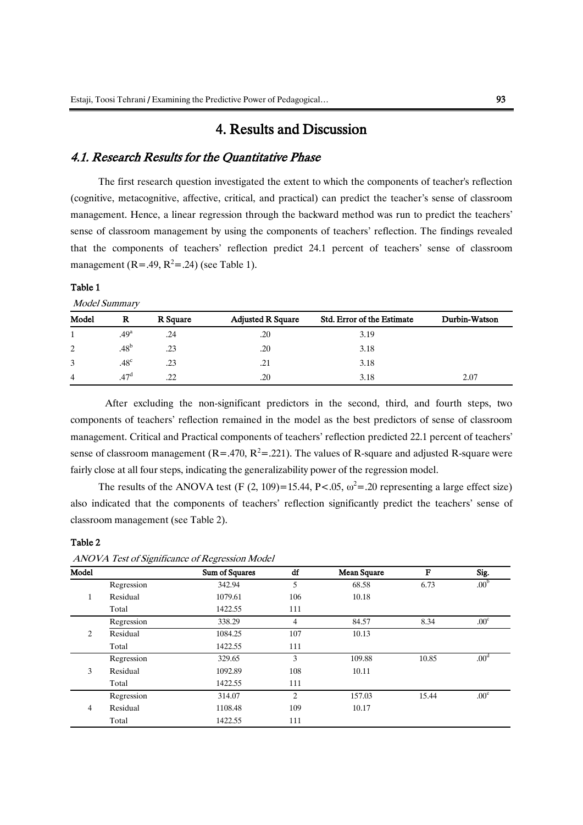# 4. Results and Discussion

### 4.1. Research Results for the Quantitative Phase

The first research question investigated the extent to which the components of teacher's reflection (cognitive, metacognitive, affective, critical, and practical) can predict the teacher's sense of classroom management. Hence, a linear regression through the backward method was run to predict the teachers' sense of classroom management by using the components of teachers' reflection. The findings revealed that the components of teachers' reflection predict 24.1 percent of teachers' sense of classroom management (R=.49, R<sup>2</sup>=.24) (see Table 1).

#### Table 1

Model Summary

| Model | R                | R Square | <b>Adjusted R Square</b> | Std. Error of the Estimate | Durbin-Watson |
|-------|------------------|----------|--------------------------|----------------------------|---------------|
|       | .49 <sup>a</sup> | .24      | .20                      | 3.19                       |               |
| 2     | .48 <sup>b</sup> | .23      | .20                      | 3.18                       |               |
| 3     | .48 <sup>c</sup> | .23      | .21                      | 3.18                       |               |
| 4     | .47 <sup>d</sup> | .22      | .20                      | 3.18                       | 2.07          |

After excluding the non-significant predictors in the second, third, and fourth steps, two components of teachers' reflection remained in the model as the best predictors of sense of classroom management. Critical and Practical components of teachers' reflection predicted 22.1 percent of teachers' sense of classroom management ( $R = 0.470$ ,  $R^2 = 0.221$ ). The values of R-square and adjusted R-square were fairly close at all four steps, indicating the generalizability power of the regression model.

The results of the ANOVA test (F (2, 109)=15.44, P<.05,  $\omega^2$ =.20 representing a large effect size) also indicated that the components of teachers' reflection significantly predict the teachers' sense of classroom management (see Table 2).

#### Table 2

| Model          |            | Sum of Squares | df             | <b>Mean Square</b> | F     | Sig.             |
|----------------|------------|----------------|----------------|--------------------|-------|------------------|
|                | Regression | 342.94         | 5              | 68.58              | 6.73  | .00 <sup>b</sup> |
| 1              | Residual   | 1079.61        | 106            | 10.18              |       |                  |
|                | Total      | 1422.55        | 111            |                    |       |                  |
|                | Regression | 338.29         | $\overline{4}$ | 84.57              | 8.34  | .00 <sup>c</sup> |
| 2              | Residual   | 1084.25        | 107            | 10.13              |       |                  |
|                | Total      | 1422.55        | 111            |                    |       |                  |
|                | Regression | 329.65         | 3              | 109.88             | 10.85 | .00 <sup>d</sup> |
| 3              | Residual   | 1092.89        | 108            | 10.11              |       |                  |
|                | Total      | 1422.55        | 111            |                    |       |                  |
|                | Regression | 314.07         | 2              | 157.03             | 15.44 | .00 <sup>e</sup> |
| $\overline{4}$ | Residual   | 1108.48        | 109            | 10.17              |       |                  |
|                | Total      | 1422.55        | 111            |                    |       |                  |

ANOVA Test of Significance of Regression Model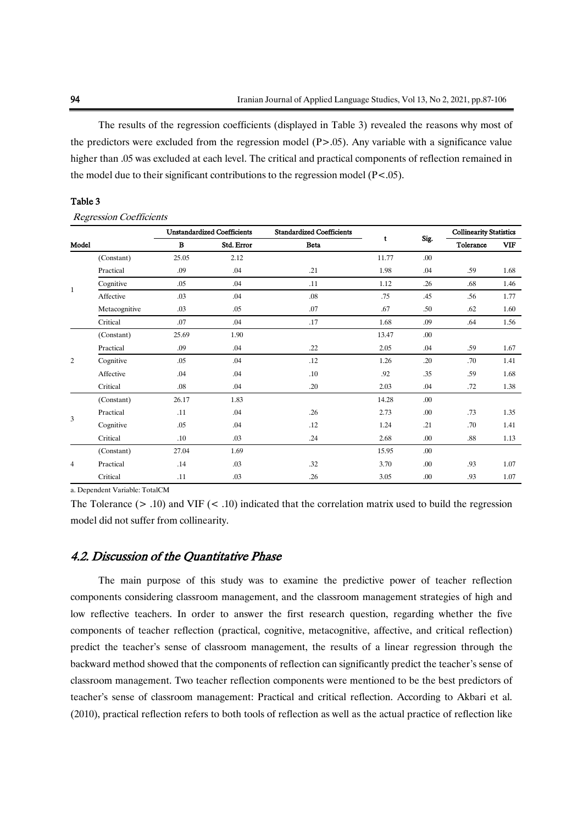The results of the regression coefficients (displayed in Table 3) revealed the reasons why most of the predictors were excluded from the regression model  $(P>0.05)$ . Any variable with a significance value higher than .05 was excluded at each level. The critical and practical components of reflection remained in the model due to their significant contributions to the regression model  $(P<.05)$ .

#### Table 3

Regression Coefficients

|              |               |          | <b>Unstandardized Coefficients</b> | <b>Standardized Coefficients</b> |       |      | <b>Collinearity Statistics</b> |            |
|--------------|---------------|----------|------------------------------------|----------------------------------|-------|------|--------------------------------|------------|
| Model        |               | $\bf{B}$ | Std. Error                         | <b>Beta</b>                      | t     | Sig. | Tolerance                      | <b>VIF</b> |
|              | (Constant)    | 25.05    | 2.12                               |                                  | 11.77 | .00  |                                |            |
|              | Practical     | .09      | .04                                | .21                              | 1.98  | .04  | .59                            | 1.68       |
| $\mathbf{1}$ | Cognitive     | .05      | .04                                | .11                              | 1.12  | .26  | .68                            | 1.46       |
|              | Affective     | .03      | .04                                | .08                              | .75   | .45  | .56                            | 1.77       |
|              | Metacognitive | .03      | .05                                | .07                              | .67   | .50  | .62                            | 1.60       |
|              | Critical      | .07      | .04                                | .17                              | 1.68  | .09  | .64                            | 1.56       |
|              | (Constant)    | 25.69    | 1.90                               |                                  | 13.47 | .00. |                                |            |
|              | Practical     | .09      | .04                                | .22                              | 2.05  | .04  | .59                            | 1.67       |
| 2            | Cognitive     | .05      | .04                                | .12                              | 1.26  | .20  | .70                            | 1.41       |
|              | Affective     | .04      | .04                                | .10                              | .92   | .35  | .59                            | 1.68       |
|              | Critical      | .08      | .04                                | .20                              | 2.03  | .04  | .72                            | 1.38       |
|              | (Constant)    | 26.17    | 1.83                               |                                  | 14.28 | .00. |                                |            |
| 3            | Practical     | .11      | .04                                | .26                              | 2.73  | .00. | .73                            | 1.35       |
|              | Cognitive     | .05      | .04                                | .12                              | 1.24  | .21  | .70                            | 1.41       |
|              | Critical      | .10      | .03                                | .24                              | 2.68  | .00. | .88                            | 1.13       |
|              | (Constant)    | 27.04    | 1.69                               |                                  | 15.95 | .00  |                                |            |
| 4            | Practical     | .14      | .03                                | .32                              | 3.70  | .00. | .93                            | 1.07       |
|              | Critical      | .11      | .03                                | .26                              | 3.05  | .00  | .93                            | 1.07       |

a. Dependent Variable: TotalCM

The Tolerance  $(> .10)$  and VIF  $(< .10)$  indicated that the correlation matrix used to build the regression model did not suffer from collinearity.

### 4.2. Discussion of the Quantitative Phase

The main purpose of this study was to examine the predictive power of teacher reflection components considering classroom management, and the classroom management strategies of high and low reflective teachers. In order to answer the first research question, regarding whether the five components of teacher reflection (practical, cognitive, metacognitive, affective, and critical reflection) predict the teacher's sense of classroom management, the results of a linear regression through the backward method showed that the components of reflection can significantly predict the teacher's sense of classroom management. Two teacher reflection components were mentioned to be the best predictors of teacher's sense of classroom management: Practical and critical reflection. According to Akbari et al. (2010), practical reflection refers to both tools of reflection as well as the actual practice of reflection like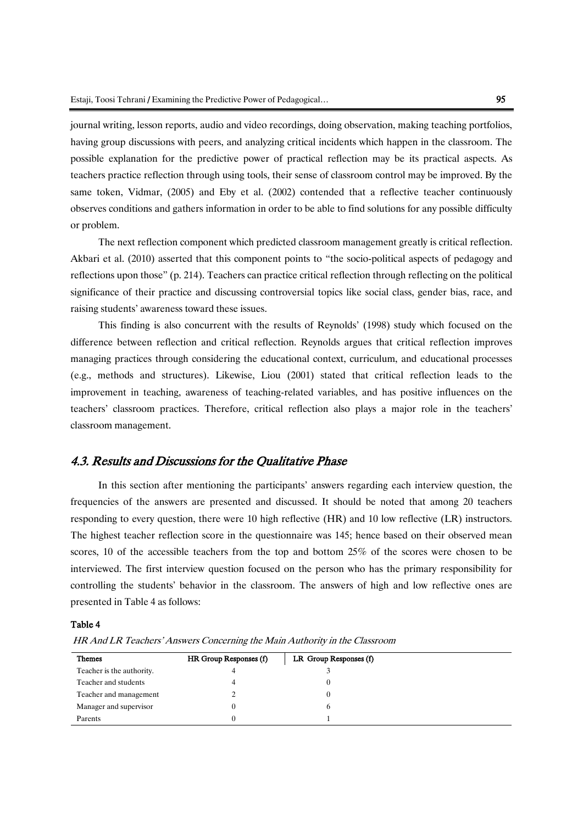journal writing, lesson reports, audio and video recordings, doing observation, making teaching portfolios, having group discussions with peers, and analyzing critical incidents which happen in the classroom. The possible explanation for the predictive power of practical reflection may be its practical aspects. As teachers practice reflection through using tools, their sense of classroom control may be improved. By the same token, Vidmar, (2005) and Eby et al. (2002) contended that a reflective teacher continuously observes conditions and gathers information in order to be able to find solutions for any possible difficulty or problem.

The next reflection component which predicted classroom management greatly is critical reflection. Akbari et al. (2010) asserted that this component points to "the socio-political aspects of pedagogy and reflections upon those" (p. 214). Teachers can practice critical reflection through reflecting on the political significance of their practice and discussing controversial topics like social class, gender bias, race, and raising students' awareness toward these issues.

This finding is also concurrent with the results of Reynolds' (1998) study which focused on the difference between reflection and critical reflection. Reynolds argues that critical reflection improves managing practices through considering the educational context, curriculum, and educational processes (e.g., methods and structures). Likewise, Liou (2001) stated that critical reflection leads to the improvement in teaching, awareness of teaching-related variables, and has positive influences on the teachers' classroom practices. Therefore, critical reflection also plays a major role in the teachers' classroom management.

### 4.3. Results and Discussions for the Qualitative Phase

In this section after mentioning the participants' answers regarding each interview question, the frequencies of the answers are presented and discussed. It should be noted that among 20 teachers responding to every question, there were 10 high reflective (HR) and 10 low reflective (LR) instructors. The highest teacher reflection score in the questionnaire was 145; hence based on their observed mean scores, 10 of the accessible teachers from the top and bottom 25% of the scores were chosen to be interviewed. The first interview question focused on the person who has the primary responsibility for controlling the students' behavior in the classroom. The answers of high and low reflective ones are presented in Table 4 as follows:

#### Table 4

HR And LR Teachers' Answers Concerning the Main Authority in the Classroom

| <b>Themes</b>             | HR Group Responses (f) | LR Group Responses (f) |  |
|---------------------------|------------------------|------------------------|--|
| Teacher is the authority. | 4                      |                        |  |
| Teacher and students      | 4                      |                        |  |
| Teacher and management    |                        |                        |  |
| Manager and supervisor    |                        | <sub>0</sub>           |  |
| Parents                   |                        |                        |  |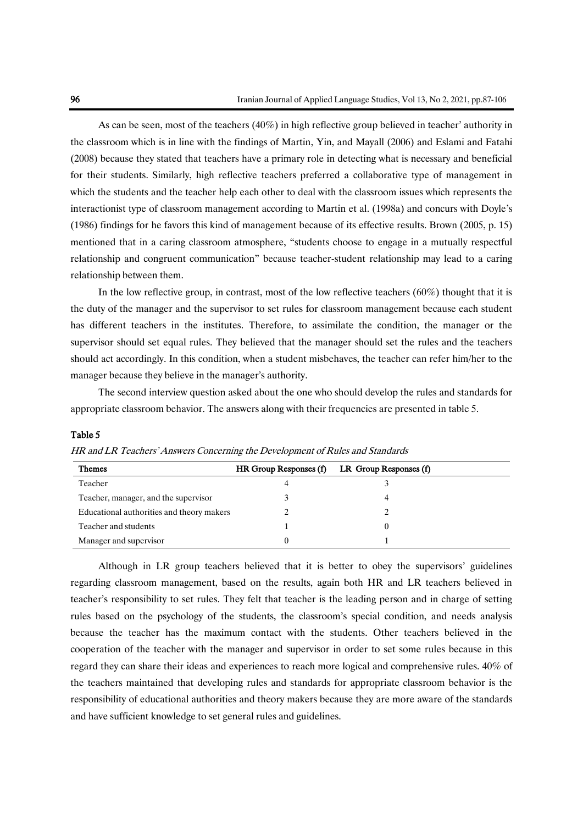As can be seen, most of the teachers (40%) in high reflective group believed in teacher' authority in the classroom which is in line with the findings of Martin, Yin, and Mayall (2006) and Eslami and Fatahi (2008) because they stated that teachers have a primary role in detecting what is necessary and beneficial for their students. Similarly, high reflective teachers preferred a collaborative type of management in which the students and the teacher help each other to deal with the classroom issues which represents the interactionist type of classroom management according to Martin et al. (1998a) and concurs with Doyle's (1986) findings for he favors this kind of management because of its effective results. Brown (2005, p. 15) mentioned that in a caring classroom atmosphere, "students choose to engage in a mutually respectful relationship and congruent communication" because teacher-student relationship may lead to a caring relationship between them.

In the low reflective group, in contrast, most of the low reflective teachers (60%) thought that it is the duty of the manager and the supervisor to set rules for classroom management because each student has different teachers in the institutes. Therefore, to assimilate the condition, the manager or the supervisor should set equal rules. They believed that the manager should set the rules and the teachers should act accordingly. In this condition, when a student misbehaves, the teacher can refer him/her to the manager because they believe in the manager's authority.

The second interview question asked about the one who should develop the rules and standards for appropriate classroom behavior. The answers along with their frequencies are presented in table 5.

| <b>Themes</b>                             | HR Group Responses (f) | LR Group Responses (f) |  |
|-------------------------------------------|------------------------|------------------------|--|
| Teacher                                   | 4                      |                        |  |
| Teacher, manager, and the supervisor      |                        |                        |  |
| Educational authorities and theory makers |                        |                        |  |
| Teacher and students                      |                        |                        |  |
| Manager and supervisor                    | 0                      |                        |  |

Table 5

HR and LR Teachers' Answers Concerning the Development of Rules and Standards

Although in LR group teachers believed that it is better to obey the supervisors' guidelines regarding classroom management, based on the results, again both HR and LR teachers believed in teacher's responsibility to set rules. They felt that teacher is the leading person and in charge of setting rules based on the psychology of the students, the classroom's special condition, and needs analysis because the teacher has the maximum contact with the students. Other teachers believed in the cooperation of the teacher with the manager and supervisor in order to set some rules because in this regard they can share their ideas and experiences to reach more logical and comprehensive rules. 40% of the teachers maintained that developing rules and standards for appropriate classroom behavior is the responsibility of educational authorities and theory makers because they are more aware of the standards and have sufficient knowledge to set general rules and guidelines.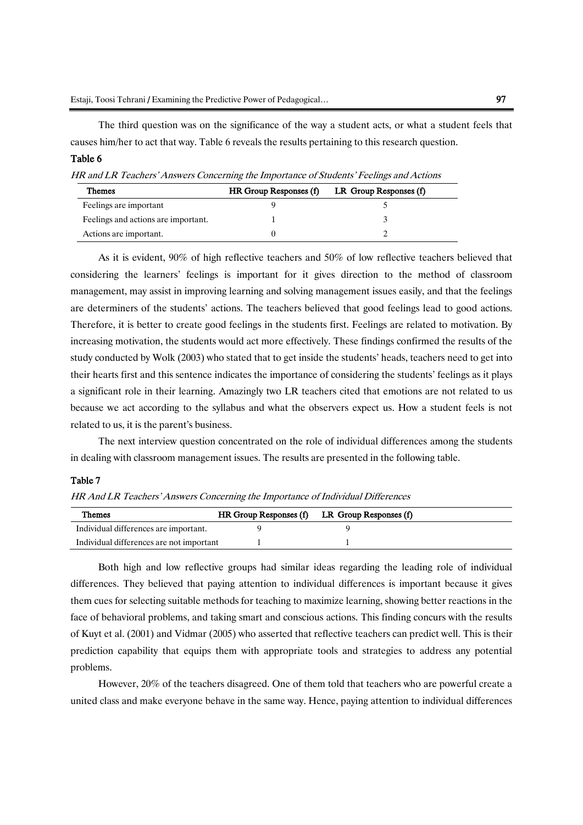The third question was on the significance of the way a student acts, or what a student feels that causes him/her to act that way. Table 6 reveals the results pertaining to this research question.

### Table 6

HR and LR Teachers' Answers Concerning the Importance of Students' Feelings and Actions

| <b>Themes</b>                       | HR Group Responses (f) | LR Group Responses (f) |
|-------------------------------------|------------------------|------------------------|
| Feelings are important              |                        |                        |
| Feelings and actions are important. |                        |                        |
| Actions are important.              |                        |                        |

As it is evident, 90% of high reflective teachers and 50% of low reflective teachers believed that considering the learners' feelings is important for it gives direction to the method of classroom management, may assist in improving learning and solving management issues easily, and that the feelings are determiners of the students' actions. The teachers believed that good feelings lead to good actions. Therefore, it is better to create good feelings in the students first. Feelings are related to motivation. By increasing motivation, the students would act more effectively. These findings confirmed the results of the study conducted by Wolk (2003) who stated that to get inside the students' heads, teachers need to get into their hearts first and this sentence indicates the importance of considering the students' feelings as it plays a significant role in their learning. Amazingly two LR teachers cited that emotions are not related to us because we act according to the syllabus and what the observers expect us. How a student feels is not related to us, it is the parent's business.

The next interview question concentrated on the role of individual differences among the students in dealing with classroom management issues. The results are presented in the following table.

#### Table 7

HR And LR Teachers' Answers Concerning the Importance of Individual Differences

| <b>Themes</b>                            | HR Group Responses (f) LR Group Responses (f) |  |
|------------------------------------------|-----------------------------------------------|--|
| Individual differences are important.    |                                               |  |
| Individual differences are not important |                                               |  |

Both high and low reflective groups had similar ideas regarding the leading role of individual differences. They believed that paying attention to individual differences is important because it gives them cues for selecting suitable methods for teaching to maximize learning, showing better reactions in the face of behavioral problems, and taking smart and conscious actions. This finding concurs with the results of Kuyt et al. (2001) and Vidmar (2005) who asserted that reflective teachers can predict well. This is their prediction capability that equips them with appropriate tools and strategies to address any potential problems.

However, 20% of the teachers disagreed. One of them told that teachers who are powerful create a united class and make everyone behave in the same way. Hence, paying attention to individual differences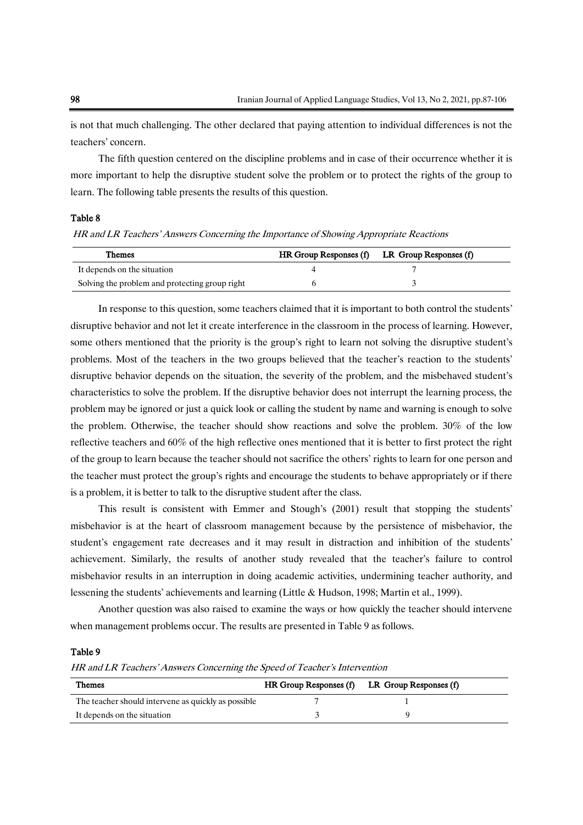is not that much challenging. The other declared that paying attention to individual differences is not the teachers' concern.

The fifth question centered on the discipline problems and in case of their occurrence whether it is more important to help the disruptive student solve the problem or to protect the rights of the group to learn. The following table presents the results of this question.

#### Table 8

HR and LR Teachers' Answers Concerning the Importance of Showing Appropriate Reactions

| <b>Themes</b>                                  | HR Group Responses (f) LR Group Responses (f) |
|------------------------------------------------|-----------------------------------------------|
| It depends on the situation                    |                                               |
| Solving the problem and protecting group right |                                               |

In response to this question, some teachers claimed that it is important to both control the students' disruptive behavior and not let it create interference in the classroom in the process of learning. However, some others mentioned that the priority is the group's right to learn not solving the disruptive student's problems. Most of the teachers in the two groups believed that the teacher's reaction to the students' disruptive behavior depends on the situation, the severity of the problem, and the misbehaved student's characteristics to solve the problem. If the disruptive behavior does not interrupt the learning process, the problem may be ignored or just a quick look or calling the student by name and warning is enough to solve the problem. Otherwise, the teacher should show reactions and solve the problem. 30% of the low reflective teachers and 60% of the high reflective ones mentioned that it is better to first protect the right of the group to learn because the teacher should not sacrifice the others' rights to learn for one person and the teacher must protect the group's rights and encourage the students to behave appropriately or if there is a problem, it is better to talk to the disruptive student after the class.

This result is consistent with Emmer and Stough's (2001) result that stopping the students' misbehavior is at the heart of classroom management because by the persistence of misbehavior, the student's engagement rate decreases and it may result in distraction and inhibition of the students' achievement. Similarly, the results of another study revealed that the teacher's failure to control misbehavior results in an interruption in doing academic activities, undermining teacher authority, and lessening the students' achievements and learning (Little & Hudson, 1998; Martin et al., 1999).

Another question was also raised to examine the ways or how quickly the teacher should intervene when management problems occur. The results are presented in Table 9 as follows.

#### Table 9

HR and LR Teachers' Answers Concerning the Speed of Teacher's Intervention

| <b>Themes</b>                                       | $HR$ Group Responses $(f)$ LR Group Responses $(f)$ |  |
|-----------------------------------------------------|-----------------------------------------------------|--|
| The teacher should intervene as quickly as possible |                                                     |  |
| It depends on the situation                         |                                                     |  |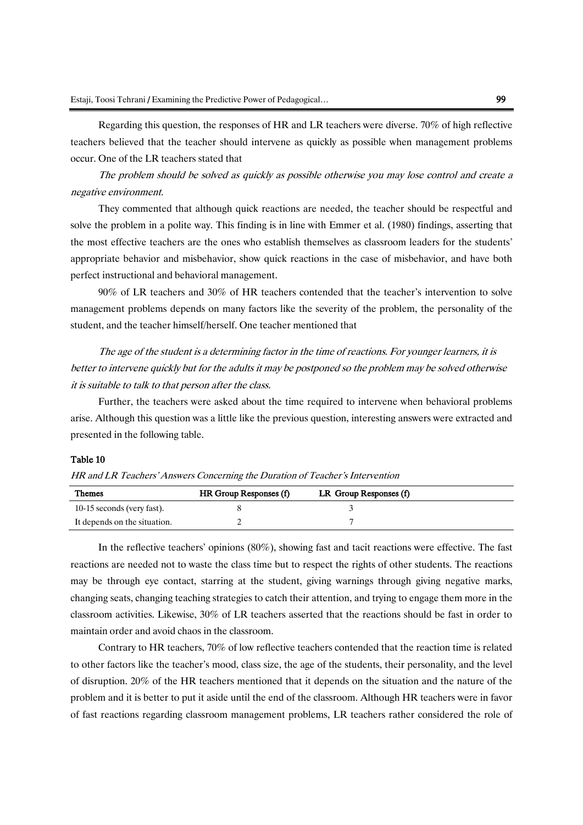Regarding this question, the responses of HR and LR teachers were diverse. 70% of high reflective teachers believed that the teacher should intervene as quickly as possible when management problems occur. One of the LR teachers stated that

The problem should be solved as quickly as possible otherwise you may lose control and create a negative environment.

They commented that although quick reactions are needed, the teacher should be respectful and solve the problem in a polite way. This finding is in line with Emmer et al. (1980) findings, asserting that the most effective teachers are the ones who establish themselves as classroom leaders for the students' appropriate behavior and misbehavior, show quick reactions in the case of misbehavior, and have both perfect instructional and behavioral management.

90% of LR teachers and 30% of HR teachers contended that the teacher's intervention to solve management problems depends on many factors like the severity of the problem, the personality of the student, and the teacher himself/herself. One teacher mentioned that

The age of the student is a determining factor in the time of reactions. For younger learners, it is better to intervene quickly but for the adults it may be postponed so the problem may be solved otherwise it is suitable to talk to that person after the class.

Further, the teachers were asked about the time required to intervene when behavioral problems arise. Although this question was a little like the previous question, interesting answers were extracted and presented in the following table.

#### Table 10

| HR and LR Teachers' Answers Concerning the Duration of Teacher's Intervention |  |  |  |
|-------------------------------------------------------------------------------|--|--|--|
|                                                                               |  |  |  |

| <b>Themes</b>                | HR Group Responses (f) | LR Group Responses (f) |  |
|------------------------------|------------------------|------------------------|--|
| 10-15 seconds (very fast).   |                        |                        |  |
| It depends on the situation. |                        |                        |  |

In the reflective teachers' opinions (80%), showing fast and tacit reactions were effective. The fast reactions are needed not to waste the class time but to respect the rights of other students. The reactions may be through eye contact, starring at the student, giving warnings through giving negative marks, changing seats, changing teaching strategies to catch their attention, and trying to engage them more in the classroom activities. Likewise, 30% of LR teachers asserted that the reactions should be fast in order to maintain order and avoid chaos in the classroom.

Contrary to HR teachers, 70% of low reflective teachers contended that the reaction time is related to other factors like the teacher's mood, class size, the age of the students, their personality, and the level of disruption. 20% of the HR teachers mentioned that it depends on the situation and the nature of the problem and it is better to put it aside until the end of the classroom. Although HR teachers were in favor of fast reactions regarding classroom management problems, LR teachers rather considered the role of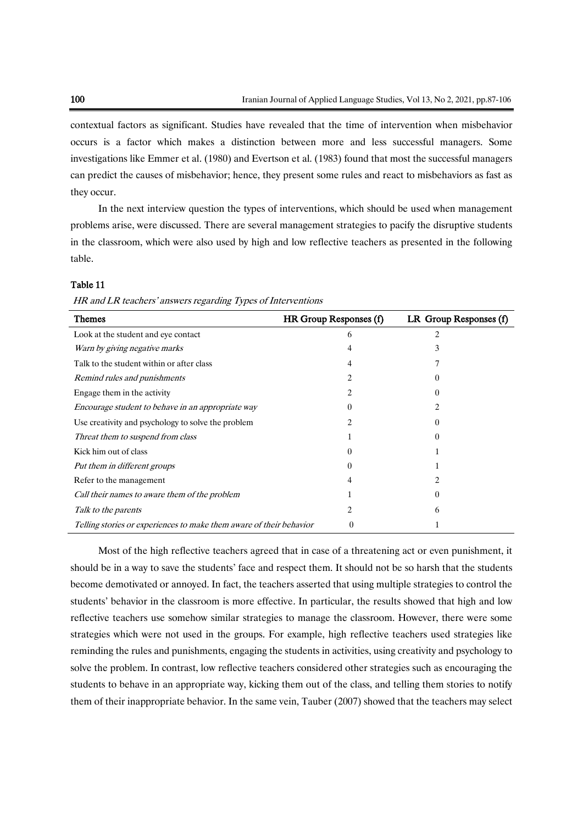contextual factors as significant. Studies have revealed that the time of intervention when misbehavior occurs is a factor which makes a distinction between more and less successful managers. Some investigations like Emmer et al. (1980) and Evertson et al. (1983) found that most the successful managers can predict the causes of misbehavior; hence, they present some rules and react to misbehaviors as fast as they occur.

In the next interview question the types of interventions, which should be used when management problems arise, were discussed. There are several management strategies to pacify the disruptive students in the classroom, which were also used by high and low reflective teachers as presented in the following table.

#### Table 11

HR and LR teachers' answers regarding Types of Interventions

| <b>Themes</b>                                                       | HR Group Responses (f) | LR Group Responses (f) |
|---------------------------------------------------------------------|------------------------|------------------------|
| Look at the student and eye contact                                 | 6                      | 2                      |
| Warn by giving negative marks                                       |                        | 3                      |
| Talk to the student within or after class                           | 4                      |                        |
| Remind rules and punishments                                        | 2                      |                        |
| Engage them in the activity                                         | 2                      | $^{(1)}$               |
| Encourage student to behave in an appropriate way                   |                        |                        |
| Use creativity and psychology to solve the problem                  |                        | $\theta$               |
| Threat them to suspend from class                                   |                        | $^{(1)}$               |
| Kick him out of class                                               | 0                      |                        |
| Put them in different groups                                        | $\mathbf{0}$           |                        |
| Refer to the management                                             |                        |                        |
| Call their names to aware them of the problem                       |                        | $\theta$               |
| Talk to the parents                                                 | 2                      | 6                      |
| Telling stories or experiences to make them aware of their behavior | $\theta$               |                        |

Most of the high reflective teachers agreed that in case of a threatening act or even punishment, it should be in a way to save the students' face and respect them. It should not be so harsh that the students become demotivated or annoyed. In fact, the teachers asserted that using multiple strategies to control the students' behavior in the classroom is more effective. In particular, the results showed that high and low reflective teachers use somehow similar strategies to manage the classroom. However, there were some strategies which were not used in the groups. For example, high reflective teachers used strategies like reminding the rules and punishments, engaging the students in activities, using creativity and psychology to solve the problem. In contrast, low reflective teachers considered other strategies such as encouraging the students to behave in an appropriate way, kicking them out of the class, and telling them stories to notify them of their inappropriate behavior. In the same vein, Tauber (2007) showed that the teachers may select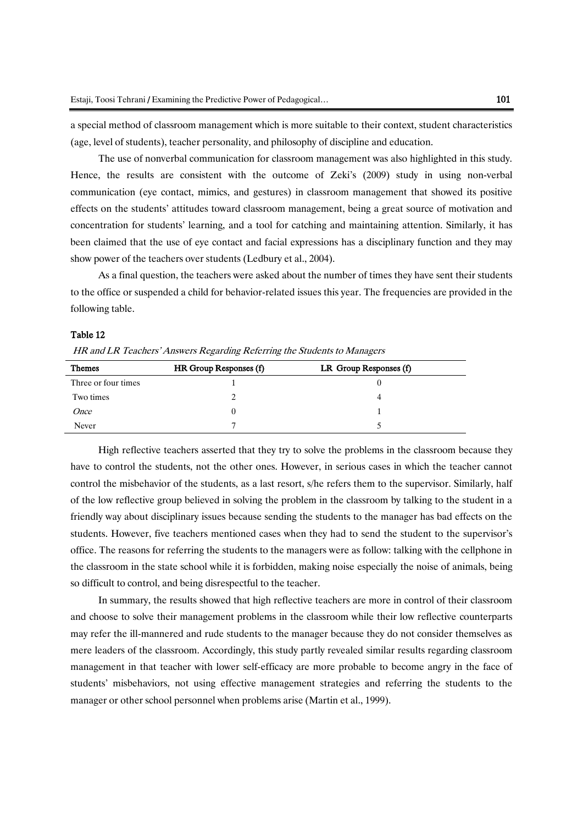a special method of classroom management which is more suitable to their context, student characteristics (age, level of students), teacher personality, and philosophy of discipline and education.

The use of nonverbal communication for classroom management was also highlighted in this study. Hence, the results are consistent with the outcome of Zeki's (2009) study in using non-verbal communication (eye contact, mimics, and gestures) in classroom management that showed its positive effects on the students' attitudes toward classroom management, being a great source of motivation and concentration for students' learning, and a tool for catching and maintaining attention. Similarly, it has been claimed that the use of eye contact and facial expressions has a disciplinary function and they may show power of the teachers over students (Ledbury et al., 2004).

As a final question, the teachers were asked about the number of times they have sent their students to the office or suspended a child for behavior-related issues this year. The frequencies are provided in the following table.

#### Table 12

HR and LR Teachers' Answers Regarding Referring the Students to Managers

| <b>Themes</b>       | HR Group Responses (f) | LR Group Responses (f) |
|---------------------|------------------------|------------------------|
| Three or four times |                        |                        |
| Two times           |                        |                        |
| <i>Once</i>         |                        |                        |
| Never               |                        |                        |

High reflective teachers asserted that they try to solve the problems in the classroom because they have to control the students, not the other ones. However, in serious cases in which the teacher cannot control the misbehavior of the students, as a last resort, s/he refers them to the supervisor. Similarly, half of the low reflective group believed in solving the problem in the classroom by talking to the student in a friendly way about disciplinary issues because sending the students to the manager has bad effects on the students. However, five teachers mentioned cases when they had to send the student to the supervisor's office. The reasons for referring the students to the managers were as follow: talking with the cellphone in the classroom in the state school while it is forbidden, making noise especially the noise of animals, being so difficult to control, and being disrespectful to the teacher.

In summary, the results showed that high reflective teachers are more in control of their classroom and choose to solve their management problems in the classroom while their low reflective counterparts may refer the ill-mannered and rude students to the manager because they do not consider themselves as mere leaders of the classroom. Accordingly, this study partly revealed similar results regarding classroom management in that teacher with lower self-efficacy are more probable to become angry in the face of students' misbehaviors, not using effective management strategies and referring the students to the manager or other school personnel when problems arise (Martin et al., 1999).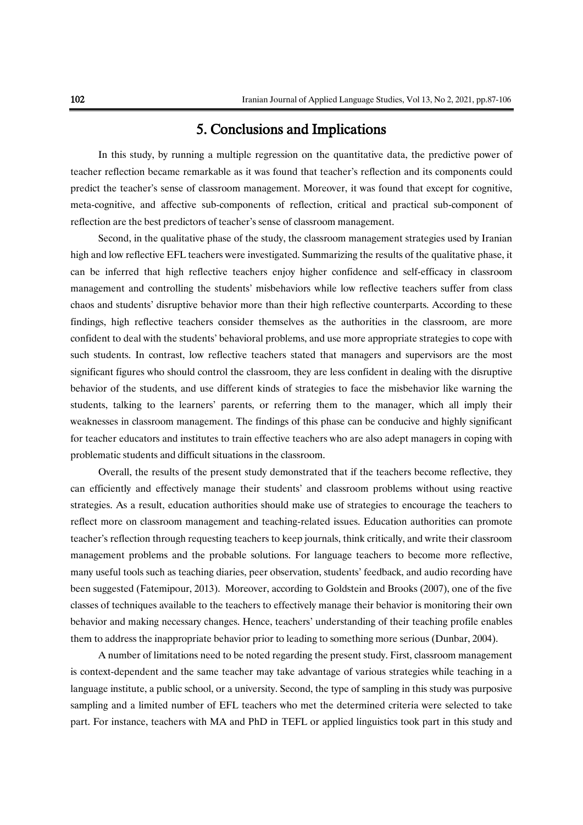# 5. Conclusions and Implications

In this study, by running a multiple regression on the quantitative data, the predictive power of teacher reflection became remarkable as it was found that teacher's reflection and its components could predict the teacher's sense of classroom management. Moreover, it was found that except for cognitive, meta-cognitive, and affective sub-components of reflection, critical and practical sub-component of reflection are the best predictors of teacher's sense of classroom management.

Second, in the qualitative phase of the study, the classroom management strategies used by Iranian high and low reflective EFL teachers were investigated. Summarizing the results of the qualitative phase, it can be inferred that high reflective teachers enjoy higher confidence and self-efficacy in classroom management and controlling the students' misbehaviors while low reflective teachers suffer from class chaos and students' disruptive behavior more than their high reflective counterparts. According to these findings, high reflective teachers consider themselves as the authorities in the classroom, are more confident to deal with the students' behavioral problems, and use more appropriate strategies to cope with such students. In contrast, low reflective teachers stated that managers and supervisors are the most significant figures who should control the classroom, they are less confident in dealing with the disruptive behavior of the students, and use different kinds of strategies to face the misbehavior like warning the students, talking to the learners' parents, or referring them to the manager, which all imply their weaknesses in classroom management. The findings of this phase can be conducive and highly significant for teacher educators and institutes to train effective teachers who are also adept managers in coping with problematic students and difficult situations in the classroom.

Overall, the results of the present study demonstrated that if the teachers become reflective, they can efficiently and effectively manage their students' and classroom problems without using reactive strategies. As a result, education authorities should make use of strategies to encourage the teachers to reflect more on classroom management and teaching-related issues. Education authorities can promote teacher's reflection through requesting teachers to keep journals, think critically, and write their classroom management problems and the probable solutions. For language teachers to become more reflective, many useful tools such as teaching diaries, peer observation, students' feedback, and audio recording have been suggested (Fatemipour, 2013). Moreover, according to Goldstein and Brooks (2007), one of the five classes of techniques available to the teachers to effectively manage their behavior is monitoring their own behavior and making necessary changes. Hence, teachers' understanding of their teaching profile enables them to address the inappropriate behavior prior to leading to something more serious (Dunbar, 2004).

A number of limitations need to be noted regarding the present study. First, classroom management is context-dependent and the same teacher may take advantage of various strategies while teaching in a language institute, a public school, or a university. Second, the type of sampling in this study was purposive sampling and a limited number of EFL teachers who met the determined criteria were selected to take part. For instance, teachers with MA and PhD in TEFL or applied linguistics took part in this study and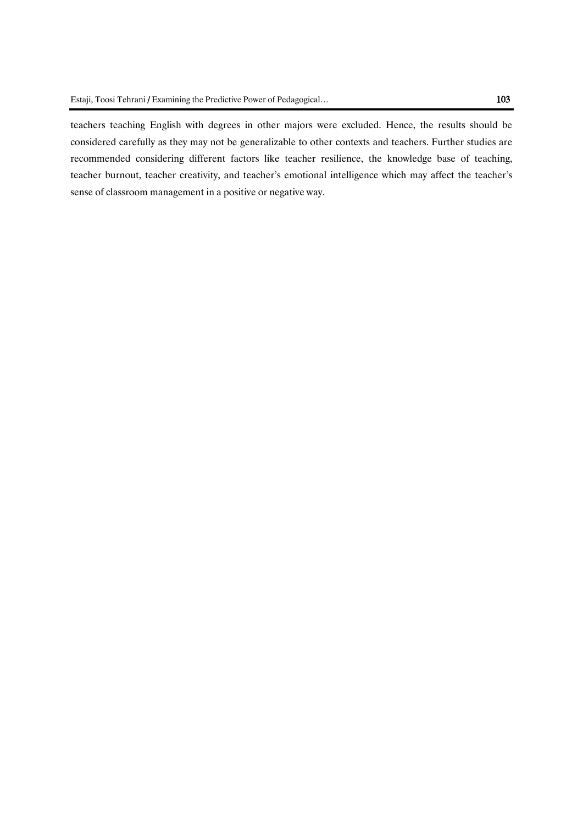teachers teaching English with degrees in other majors were excluded. Hence, the results should be considered carefully as they may not be generalizable to other contexts and teachers. Further studies are recommended considering different factors like teacher resilience, the knowledge base of teaching, teacher burnout, teacher creativity, and teacher's emotional intelligence which may affect the teacher's sense of classroom management in a positive or negative way.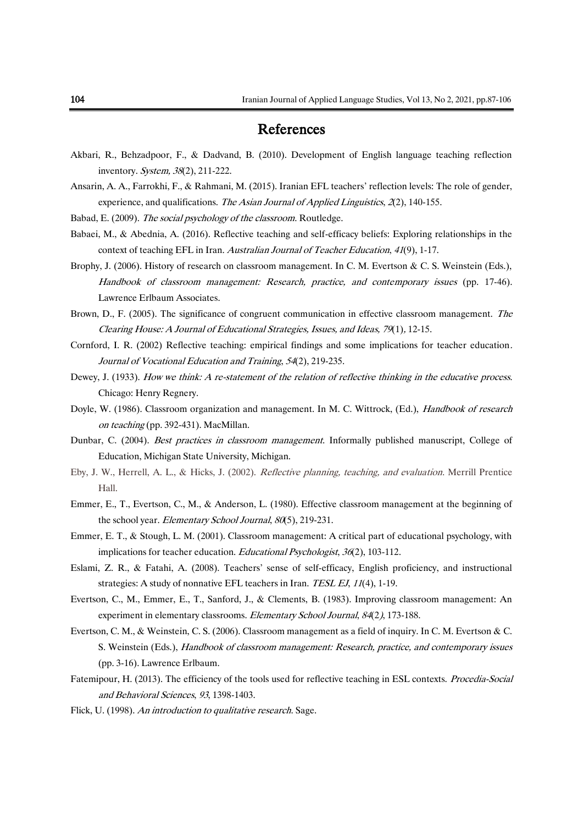# References

- Akbari, R., Behzadpoor, F., & Dadvand, B. (2010). Development of English language teaching reflection inventory. System, 38(2), 211-222.
- Ansarin, A. A., Farrokhi, F., & Rahmani, M. (2015). Iranian EFL teachers' reflection levels: The role of gender, experience, and qualifications. The Asian Journal of Applied Linguistics,  $\mathcal{Z}(2)$ , 140-155.
- Babad, E. (2009). The social psychology of the classroom. Routledge.
- Babaei, M., & Abednia, A. (2016). Reflective teaching and self-efficacy beliefs: Exploring relationships in the context of teaching EFL in Iran. Australian Journal of Teacher Education, 41(9), 1-17.
- Brophy, J. (2006). History of research on classroom management. In C. M. Evertson & C. S. Weinstein (Eds.), Handbook of classroom management: Research, practice, and contemporary issues (pp. 17-46). Lawrence Erlbaum Associates.
- Brown, D., F. (2005). The significance of congruent communication in effective classroom management. The Clearing House: A Journal of Educational Strategies, Issues, and Ideas, 79(1), 12-15.
- Cornford, I. R. (2002) Reflective teaching: empirical findings and some implications for teacher education. Journal of Vocational Education and Training, 54(2), 219-235.
- Dewey, J. (1933). How we think: A re-statement of the relation of reflective thinking in the educative process. Chicago: Henry Regnery.
- Doyle, W. (1986). Classroom organization and management. In M. C. Wittrock, (Ed.), *Handbook of research* on teaching (pp. 392-431). MacMillan.
- Dunbar, C. (2004). Best practices in classroom management. Informally published manuscript, College of Education, Michigan State University, Michigan.
- Eby, J. W., Herrell, A. L., & Hicks, J. (2002). Reflective planning, teaching, and evaluation. Merrill Prentice Hall.
- Emmer, E., T., Evertson, C., M., & Anderson, L. (1980). Effective classroom management at the beginning of the school year. Elementary School Journal, 80(5), 219-231.
- Emmer, E. T., & Stough, L. M. (2001). Classroom management: A critical part of educational psychology, with implications for teacher education. Educational Psychologist, 36(2), 103-112.
- Eslami, Z. R., & Fatahi, A. (2008). Teachers' sense of self-efficacy, English proficiency, and instructional strategies: A study of nonnative EFL teachers in Iran. TESL EJ, 11(4), 1-19.
- Evertson, C., M., Emmer, E., T., Sanford, J., & Clements, B. (1983). Improving classroom management: An experiment in elementary classrooms. Elementary School Journal, 84(2), 173-188.
- Evertson, C. M., & Weinstein, C. S. (2006). Classroom management as a field of inquiry. In C. M. Evertson & C. S. Weinstein (Eds.), Handbook of classroom management: Research, practice, and contemporary issues (pp. 3-16). Lawrence Erlbaum.
- Fatemipour, H. (2013). The efficiency of the tools used for reflective teaching in ESL contexts. *Procedia-Social* and Behavioral Sciences, 93, 1398-1403.
- Flick, U. (1998). An introduction to qualitative research. Sage.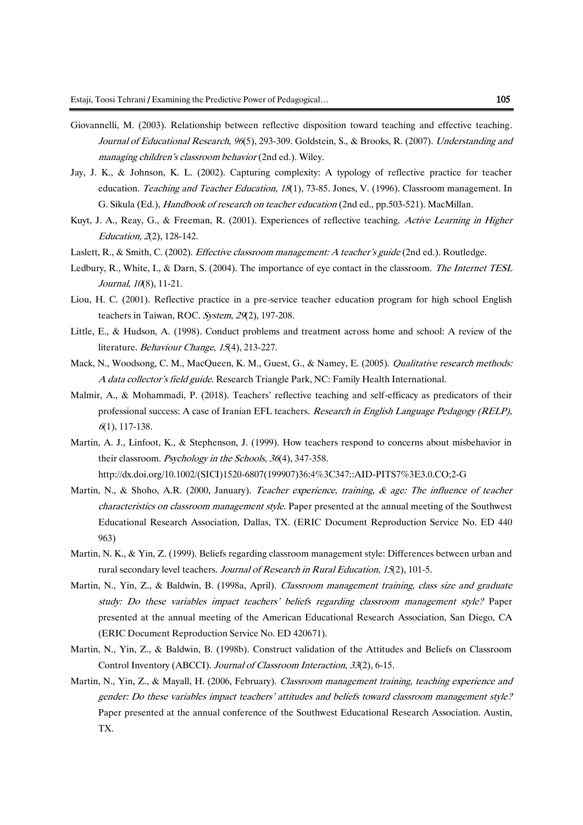- Giovannelli, M. (2003). Relationship between reflective disposition toward teaching and effective teaching. Journal of Educational Research, 96(5), 293-309. Goldstein, S., & Brooks, R. (2007). Understanding and managing children's classroom behavior (2nd ed.). Wiley.
- Jay, J. K., & Johnson, K. L. (2002). Capturing complexity: A typology of reflective practice for teacher education. Teaching and Teacher Education, 18(1), 73-85. Jones, V. (1996). Classroom management. In G. Sikula (Ed.), *Handbook of research on teacher education* (2nd ed., pp.503-521). MacMillan.
- Kuyt, J. A., Reay, G., & Freeman, R. (2001). Experiences of reflective teaching. Active Learning in Higher Education, 2(2), 128-142.
- Laslett, R., & Smith, C. (2002). Effective classroom management: A teacher's guide (2nd ed.). Routledge.
- Ledbury, R., White, I., & Darn, S. (2004). The importance of eye contact in the classroom. The Internet TESL Journal, 10(8), 11-21.
- Liou, H. C. (2001). Reflective practice in a pre-service teacher education program for high school English teachers in Taiwan, ROC. System, 29(2), 197-208.
- Little, E., & Hudson, A. (1998). Conduct problems and treatment across home and school: A review of the literature. Behaviour Change, 15(4), 213-227.
- Mack, N., Woodsong, C. M., MacQueen, K. M., Guest, G., & Namey, E. (2005). Qualitative research methods: A data collector's field guide. Research Triangle Park, NC: Family Health International.
- Malmir, A., & Mohammadi, P. (2018). Teachers' reflective teaching and self-efficacy as predicators of their professional success: A case of Iranian EFL teachers. Research in English Language Pedagogy (RELP), <sup>6</sup>(1), 117-138.
- Martin, A. J., Linfoot, K., & Stephenson, J. (1999). How teachers respond to concerns about misbehavior in their classroom. Psychology in the Schools, 36(4), 347-358.

http://dx.doi.org/10.1002/(SICI)1520-6807(199907)36:4%3C347::AID-PITS7%3E3.0.CO;2-G

- Martin, N., & Shoho, A.R. (2000, January). Teacher experience, training, & age: The influence of teacher characteristics on classroom management style. Paper presented at the annual meeting of the Southwest Educational Research Association, Dallas, TX. (ERIC Document Reproduction Service No. ED 440 963)
- Martin, N. K., & Yin, Z. (1999). Beliefs regarding classroom management style: Differences between urban and rural secondary level teachers. Journal of Research in Rural Education, 15(2), 101-5.
- Martin, N., Yin, Z., & Baldwin, B. (1998a, April). Classroom management training, class size and graduate study: Do these variables impact teachers' beliefs regarding classroom management style? Paper presented at the annual meeting of the American Educational Research Association, San Diego, CA (ERIC Document Reproduction Service No. ED 420671).
- Martin, N., Yin, Z., & Baldwin, B. (1998b). Construct validation of the Attitudes and Beliefs on Classroom Control Inventory (ABCCI). Journal of Classroom Interaction, 33(2), 6-15.
- Martin, N., Yin, Z., & Mayall, H. (2006, February). Classroom management training, teaching experience and gender: Do these variables impact teachers' attitudes and beliefs toward classroom management style? Paper presented at the annual conference of the Southwest Educational Research Association. Austin, TX.